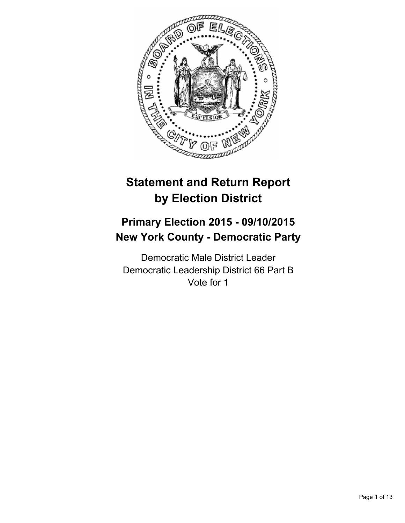

# **Statement and Return Report by Election District**

# **Primary Election 2015 - 09/10/2015 New York County - Democratic Party**

Democratic Male District Leader Democratic Leadership District 66 Part B Vote for 1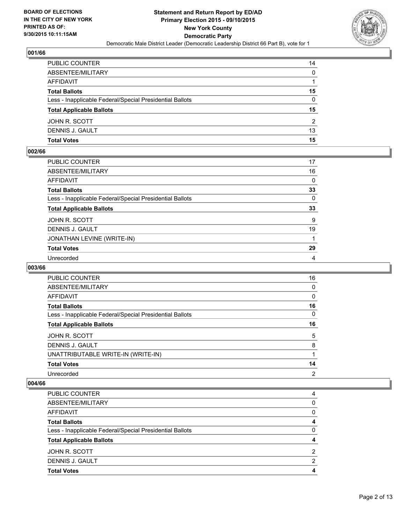

| PUBLIC COUNTER                                           | 14       |
|----------------------------------------------------------|----------|
| ABSENTEE/MILITARY                                        | $\Omega$ |
| AFFIDAVIT                                                |          |
| <b>Total Ballots</b>                                     | 15       |
| Less - Inapplicable Federal/Special Presidential Ballots | $\Omega$ |
| <b>Total Applicable Ballots</b>                          | 15       |
| JOHN R. SCOTT                                            | 2        |
| DENNIS J. GAULT                                          | 13       |
| Total Votes                                              | 15       |

## **002/66**

| PUBLIC COUNTER                                           | 17          |
|----------------------------------------------------------|-------------|
| ABSENTEE/MILITARY                                        | 16          |
| AFFIDAVIT                                                | 0           |
| Total Ballots                                            | 33          |
| Less - Inapplicable Federal/Special Presidential Ballots | $\mathbf 0$ |
| <b>Total Applicable Ballots</b>                          | 33          |
| JOHN R. SCOTT                                            | 9           |
| DENNIS J. GAULT                                          | 19          |
| JONATHAN LEVINE (WRITE-IN)                               |             |
| <b>Total Votes</b>                                       | 29          |
| Unrecorded                                               | 4           |

#### **003/66**

| PUBLIC COUNTER                                           | 16             |
|----------------------------------------------------------|----------------|
| ABSENTEE/MILITARY                                        | 0              |
| AFFIDAVIT                                                | 0              |
| <b>Total Ballots</b>                                     | 16             |
| Less - Inapplicable Federal/Special Presidential Ballots | 0              |
| <b>Total Applicable Ballots</b>                          | 16             |
| JOHN R. SCOTT                                            | 5              |
| DENNIS J. GAULT                                          | 8              |
| UNATTRIBUTABLE WRITE-IN (WRITE-IN)                       |                |
| <b>Total Votes</b>                                       | 14             |
| Unrecorded                                               | $\overline{2}$ |

| PUBLIC COUNTER                                           | 4            |
|----------------------------------------------------------|--------------|
| ABSENTEE/MILITARY                                        | $\mathbf{0}$ |
| AFFIDAVIT                                                | 0            |
| <b>Total Ballots</b>                                     | 4            |
| Less - Inapplicable Federal/Special Presidential Ballots | 0            |
| <b>Total Applicable Ballots</b>                          | 4            |
| JOHN R. SCOTT                                            | 2            |
| DENNIS J. GAULT                                          | 2            |
| <b>Total Votes</b>                                       | 4            |
|                                                          |              |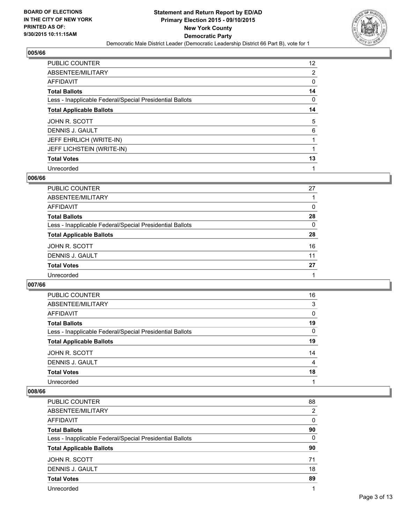

| PUBLIC COUNTER                                           | 12 <sup>2</sup> |
|----------------------------------------------------------|-----------------|
| ABSENTEE/MILITARY                                        | 2               |
| AFFIDAVIT                                                | 0               |
| <b>Total Ballots</b>                                     | 14              |
| Less - Inapplicable Federal/Special Presidential Ballots | 0               |
| <b>Total Applicable Ballots</b>                          | 14              |
| JOHN R. SCOTT                                            | 5               |
| DENNIS J. GAULT                                          | 6               |
| JEFF EHRLICH (WRITE-IN)                                  |                 |
| JEFF LICHSTEIN (WRITE-IN)                                | 1               |
| <b>Total Votes</b>                                       | 13              |
| Unrecorded                                               |                 |

#### **006/66**

| PUBLIC COUNTER                                           | 27       |
|----------------------------------------------------------|----------|
| ABSENTEE/MILITARY                                        |          |
| <b>AFFIDAVIT</b>                                         | 0        |
| <b>Total Ballots</b>                                     | 28       |
| Less - Inapplicable Federal/Special Presidential Ballots | $\Omega$ |
| <b>Total Applicable Ballots</b>                          | 28       |
| JOHN R. SCOTT                                            | 16       |
| DENNIS J. GAULT                                          | 11       |
| <b>Total Votes</b>                                       | 27       |
| Unrecorded                                               |          |
|                                                          |          |

#### **007/66**

| PUBLIC COUNTER                                           | 16 |
|----------------------------------------------------------|----|
| ABSENTEE/MILITARY                                        | 3  |
| AFFIDAVIT                                                | 0  |
| <b>Total Ballots</b>                                     | 19 |
| Less - Inapplicable Federal/Special Presidential Ballots | 0  |
| <b>Total Applicable Ballots</b>                          | 19 |
| JOHN R. SCOTT                                            | 14 |
| DENNIS J. GAULT                                          | 4  |
| <b>Total Votes</b>                                       | 18 |
| Unrecorded                                               |    |

| PUBLIC COUNTER                                           | 88 |
|----------------------------------------------------------|----|
| ABSENTEE/MILITARY                                        | 2  |
| AFFIDAVIT                                                | 0  |
| <b>Total Ballots</b>                                     | 90 |
| Less - Inapplicable Federal/Special Presidential Ballots | 0  |
| <b>Total Applicable Ballots</b>                          | 90 |
| JOHN R. SCOTT                                            | 71 |
| DENNIS J. GAULT                                          | 18 |
| <b>Total Votes</b>                                       | 89 |
| Unrecorded                                               |    |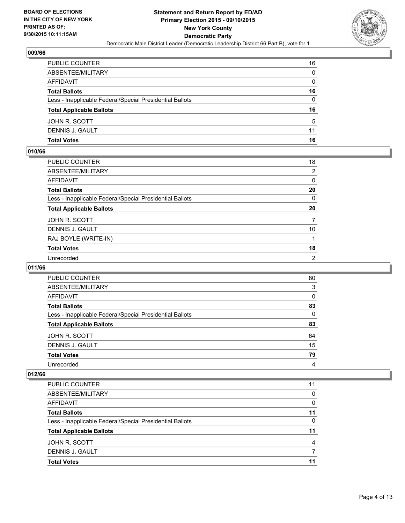

| PUBLIC COUNTER                                           | 16           |
|----------------------------------------------------------|--------------|
| ABSENTEE/MILITARY                                        | $\mathbf{0}$ |
| AFFIDAVIT                                                | $\mathbf{0}$ |
| <b>Total Ballots</b>                                     | 16           |
| Less - Inapplicable Federal/Special Presidential Ballots | $\Omega$     |
| <b>Total Applicable Ballots</b>                          | 16           |
| JOHN R. SCOTT                                            | 5            |
| DENNIS J. GAULT                                          | 11           |
| Total Votes                                              | 16           |

## **010/66**

| PUBLIC COUNTER                                           | 18           |
|----------------------------------------------------------|--------------|
| ABSENTEE/MILITARY                                        | 2            |
| AFFIDAVIT                                                | $\mathbf{0}$ |
| Total Ballots                                            | 20           |
| Less - Inapplicable Federal/Special Presidential Ballots | $\mathbf{0}$ |
| <b>Total Applicable Ballots</b>                          | 20           |
| JOHN R. SCOTT                                            | 7            |
| DENNIS J. GAULT                                          | 10           |
| RAJ BOYLE (WRITE-IN)                                     |              |
| <b>Total Votes</b>                                       | 18           |
| Unrecorded                                               | 2            |

## **011/66**

| <b>PUBLIC COUNTER</b>                                    | 80 |
|----------------------------------------------------------|----|
| ABSENTEE/MILITARY                                        | 3  |
| AFFIDAVIT                                                | 0  |
| <b>Total Ballots</b>                                     | 83 |
| Less - Inapplicable Federal/Special Presidential Ballots | 0  |
| <b>Total Applicable Ballots</b>                          | 83 |
| JOHN R. SCOTT                                            | 64 |
| DENNIS J. GAULT                                          | 15 |
| <b>Total Votes</b>                                       | 79 |
| Unrecorded                                               | 4  |

| 11 |
|----|
|    |
| 0  |
| 0  |
| 11 |
| 0  |
| 11 |
| 4  |
|    |
| 11 |
|    |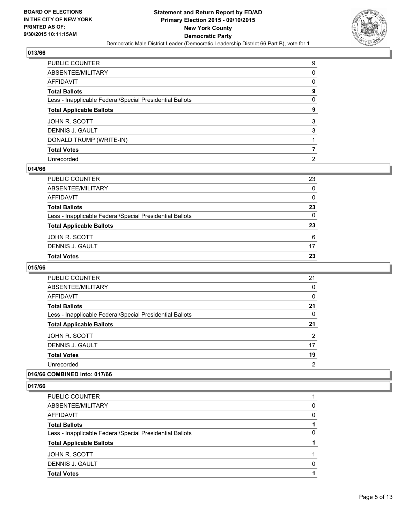

| PUBLIC COUNTER                                           | 9 |
|----------------------------------------------------------|---|
| ABSENTEE/MILITARY                                        | 0 |
| AFFIDAVIT                                                | 0 |
| <b>Total Ballots</b>                                     | 9 |
| Less - Inapplicable Federal/Special Presidential Ballots | 0 |
| <b>Total Applicable Ballots</b>                          | 9 |
| JOHN R. SCOTT                                            | 3 |
| DENNIS J. GAULT                                          | 3 |
| DONALD TRUMP (WRITE-IN)                                  |   |
| <b>Total Votes</b>                                       |   |
| Unrecorded                                               | 2 |

#### **014/66**

| PUBLIC COUNTER                                           | 23           |
|----------------------------------------------------------|--------------|
| ABSENTEE/MILITARY                                        | $\mathbf{0}$ |
| AFFIDAVIT                                                | $\mathbf{0}$ |
| Total Ballots                                            | 23           |
| Less - Inapplicable Federal/Special Presidential Ballots | $\Omega$     |
| <b>Total Applicable Ballots</b>                          | 23           |
| JOHN R. SCOTT                                            | 6            |
| DENNIS J. GAULT                                          | 17           |
| Total Votes                                              | 23           |
|                                                          |              |

#### **015/66**

| <b>PUBLIC COUNTER</b>                                    | 21 |
|----------------------------------------------------------|----|
| ABSENTEE/MILITARY                                        | 0  |
| AFFIDAVIT                                                | 0  |
| <b>Total Ballots</b>                                     | 21 |
| Less - Inapplicable Federal/Special Presidential Ballots | 0  |
| <b>Total Applicable Ballots</b>                          | 21 |
| JOHN R. SCOTT                                            | 2  |
| DENNIS J. GAULT                                          | 17 |
| <b>Total Votes</b>                                       | 19 |
| Unrecorded                                               | 2  |
|                                                          |    |

# **016/66 COMBINED into: 017/66**

| <b>Total Votes</b>                                       |          |
|----------------------------------------------------------|----------|
| DENNIS J. GAULT                                          |          |
|                                                          | $\Omega$ |
| JOHN R. SCOTT                                            |          |
| <b>Total Applicable Ballots</b>                          |          |
| Less - Inapplicable Federal/Special Presidential Ballots | 0        |
| <b>Total Ballots</b>                                     |          |
| <b>AFFIDAVIT</b>                                         | 0        |
| ABSENTEE/MILITARY                                        | 0        |
| PUBLIC COUNTER                                           |          |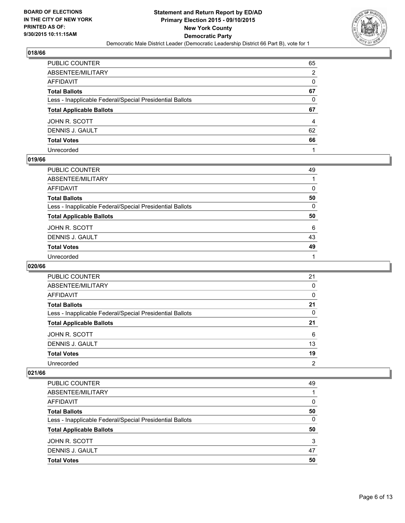

| PUBLIC COUNTER                                           | 65 |
|----------------------------------------------------------|----|
| ABSENTEE/MILITARY                                        | 2  |
| AFFIDAVIT                                                | 0  |
| <b>Total Ballots</b>                                     | 67 |
| Less - Inapplicable Federal/Special Presidential Ballots | 0  |
| <b>Total Applicable Ballots</b>                          | 67 |
| JOHN R. SCOTT                                            | 4  |
| DENNIS J. GAULT                                          | 62 |
| <b>Total Votes</b>                                       | 66 |
| Unrecorded                                               |    |

#### **019/66**

| 49       |
|----------|
|          |
| 0        |
| 50       |
| $\Omega$ |
| 50       |
| 6        |
| 43       |
|          |
| 49       |
|          |

## **020/66**

| PUBLIC COUNTER                                           | 21             |
|----------------------------------------------------------|----------------|
| ABSENTEE/MILITARY                                        | 0              |
| AFFIDAVIT                                                | 0              |
| <b>Total Ballots</b>                                     | 21             |
| Less - Inapplicable Federal/Special Presidential Ballots | 0              |
| <b>Total Applicable Ballots</b>                          | 21             |
| JOHN R. SCOTT                                            | 6              |
| DENNIS J. GAULT                                          | 13             |
| <b>Total Votes</b>                                       | 19             |
| Unrecorded                                               | $\overline{2}$ |

| PUBLIC COUNTER                                           | 49 |
|----------------------------------------------------------|----|
| ABSENTEE/MILITARY                                        |    |
| AFFIDAVIT                                                | 0  |
| <b>Total Ballots</b>                                     | 50 |
| Less - Inapplicable Federal/Special Presidential Ballots | 0  |
| <b>Total Applicable Ballots</b>                          | 50 |
| JOHN R. SCOTT                                            | 3  |
| DENNIS J. GAULT                                          | 47 |
| <b>Total Votes</b>                                       | 50 |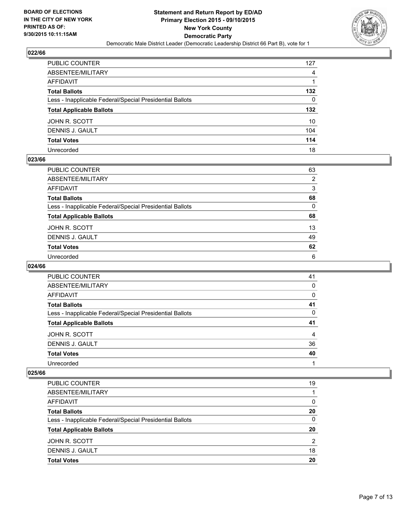

| PUBLIC COUNTER                                           | 127              |
|----------------------------------------------------------|------------------|
| ABSENTEE/MILITARY                                        | 4                |
| AFFIDAVIT                                                |                  |
| Total Ballots                                            | 132              |
| Less - Inapplicable Federal/Special Presidential Ballots | 0                |
| <b>Total Applicable Ballots</b>                          | 132 <sub>2</sub> |
| JOHN R. SCOTT                                            | 10               |
| DENNIS J. GAULT                                          | 104              |
| <b>Total Votes</b>                                       | 114              |
| Unrecorded                                               | 18               |

#### **023/66**

| PUBLIC COUNTER                                           | 63 |
|----------------------------------------------------------|----|
| ABSENTEE/MILITARY                                        | 2  |
| AFFIDAVIT                                                | 3  |
| <b>Total Ballots</b>                                     | 68 |
| Less - Inapplicable Federal/Special Presidential Ballots | 0  |
| <b>Total Applicable Ballots</b>                          | 68 |
| JOHN R. SCOTT                                            | 13 |
| DENNIS J. GAULT                                          | 49 |
| <b>Total Votes</b>                                       | 62 |
| Unrecorded                                               | 6  |

## **024/66**

| PUBLIC COUNTER                                           | 41 |
|----------------------------------------------------------|----|
| ABSENTEE/MILITARY                                        | 0  |
| AFFIDAVIT                                                | 0  |
| <b>Total Ballots</b>                                     | 41 |
| Less - Inapplicable Federal/Special Presidential Ballots | 0  |
| <b>Total Applicable Ballots</b>                          | 41 |
| JOHN R. SCOTT                                            | 4  |
| DENNIS J. GAULT                                          | 36 |
| <b>Total Votes</b>                                       | 40 |
| Unrecorded                                               |    |

| PUBLIC COUNTER                                           | 19 |
|----------------------------------------------------------|----|
| ABSENTEE/MILITARY                                        |    |
| AFFIDAVIT                                                | 0  |
| <b>Total Ballots</b>                                     | 20 |
| Less - Inapplicable Federal/Special Presidential Ballots | 0  |
| <b>Total Applicable Ballots</b>                          | 20 |
| JOHN R. SCOTT                                            | 2  |
| DENNIS J. GAULT                                          | 18 |
| <b>Total Votes</b>                                       | 20 |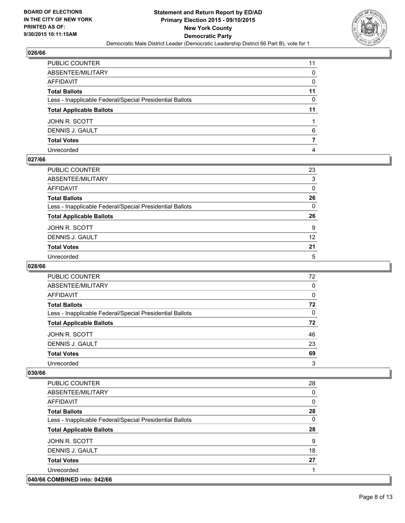

| PUBLIC COUNTER                                           | 11 |
|----------------------------------------------------------|----|
| ABSENTEE/MILITARY                                        | 0  |
| AFFIDAVIT                                                | 0  |
| Total Ballots                                            | 11 |
| Less - Inapplicable Federal/Special Presidential Ballots | 0  |
| <b>Total Applicable Ballots</b>                          | 11 |
| JOHN R. SCOTT                                            |    |
| DENNIS J. GAULT                                          | 6  |
| <b>Total Votes</b>                                       |    |
| Unrecorded                                               | 4  |

## **027/66**

| PUBLIC COUNTER                                           | 23 |
|----------------------------------------------------------|----|
| ABSENTEE/MILITARY                                        | 3  |
| AFFIDAVIT                                                | 0  |
| Total Ballots                                            | 26 |
| Less - Inapplicable Federal/Special Presidential Ballots | 0  |
| <b>Total Applicable Ballots</b>                          | 26 |
| JOHN R. SCOTT                                            | 9  |
| DENNIS J. GAULT                                          | 12 |
| <b>Total Votes</b>                                       | 21 |
| Unrecorded                                               | 5  |

## **028/66**

| PUBLIC COUNTER                                           | 72       |
|----------------------------------------------------------|----------|
| ABSENTEE/MILITARY                                        | $\Omega$ |
| AFFIDAVIT                                                | 0        |
| <b>Total Ballots</b>                                     | 72       |
| Less - Inapplicable Federal/Special Presidential Ballots | $\Omega$ |
| <b>Total Applicable Ballots</b>                          | 72       |
| JOHN R. SCOTT                                            | 46       |
| DENNIS J. GAULT                                          | 23       |
| <b>Total Votes</b>                                       | 69       |
| Unrecorded                                               | 3        |

| <b>PUBLIC COUNTER</b>                                    | 28 |
|----------------------------------------------------------|----|
| ABSENTEE/MILITARY                                        | 0  |
| <b>AFFIDAVIT</b>                                         | 0  |
| <b>Total Ballots</b>                                     | 28 |
| Less - Inapplicable Federal/Special Presidential Ballots | 0  |
| <b>Total Applicable Ballots</b>                          | 28 |
| JOHN R. SCOTT                                            | 9  |
| DENNIS J. GAULT                                          | 18 |
| <b>Total Votes</b>                                       | 27 |
| Unrecorded                                               |    |
| 040/66 COMBINED into: 042/66                             |    |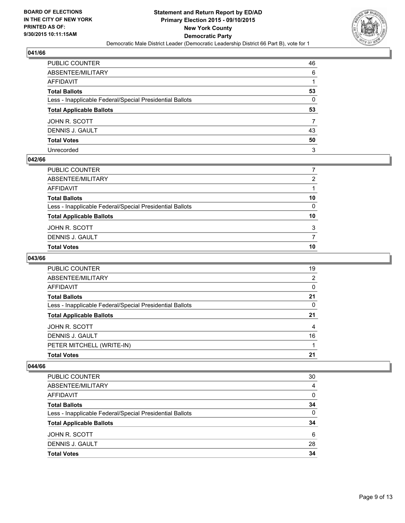

| PUBLIC COUNTER                                           | 46 |
|----------------------------------------------------------|----|
| ABSENTEE/MILITARY                                        | 6  |
| AFFIDAVIT                                                |    |
| Total Ballots                                            | 53 |
| Less - Inapplicable Federal/Special Presidential Ballots | 0  |
| <b>Total Applicable Ballots</b>                          | 53 |
| JOHN R. SCOTT                                            |    |
| DENNIS J. GAULT                                          | 43 |
| <b>Total Votes</b>                                       | 50 |
| Unrecorded                                               | 3  |

## **042/66**

| PUBLIC COUNTER                                           |    |
|----------------------------------------------------------|----|
| ABSENTEE/MILITARY                                        | 2  |
| AFFIDAVIT                                                |    |
| Total Ballots                                            | 10 |
| Less - Inapplicable Federal/Special Presidential Ballots | 0  |
| <b>Total Applicable Ballots</b>                          | 10 |
| JOHN R. SCOTT                                            | 3  |
| DENNIS J. GAULT                                          |    |
| <b>Total Votes</b>                                       | 10 |
|                                                          |    |

# **043/66**

| <b>PUBLIC COUNTER</b>                                    | 19 |
|----------------------------------------------------------|----|
| ABSENTEE/MILITARY                                        | 2  |
| AFFIDAVIT                                                | 0  |
| <b>Total Ballots</b>                                     | 21 |
| Less - Inapplicable Federal/Special Presidential Ballots | 0  |
| <b>Total Applicable Ballots</b>                          | 21 |
| JOHN R. SCOTT                                            | 4  |
|                                                          |    |
| DENNIS J. GAULT                                          | 16 |
| PETER MITCHELL (WRITE-IN)                                |    |

| PUBLIC COUNTER                                           | 30       |
|----------------------------------------------------------|----------|
| ABSENTEE/MILITARY                                        | 4        |
| <b>AFFIDAVIT</b>                                         | 0        |
| <b>Total Ballots</b>                                     | 34       |
| Less - Inapplicable Federal/Special Presidential Ballots | $\Omega$ |
| <b>Total Applicable Ballots</b>                          | 34       |
| JOHN R. SCOTT                                            | 6        |
| DENNIS J. GAULT                                          | 28       |
| <b>Total Votes</b>                                       | 34       |
|                                                          |          |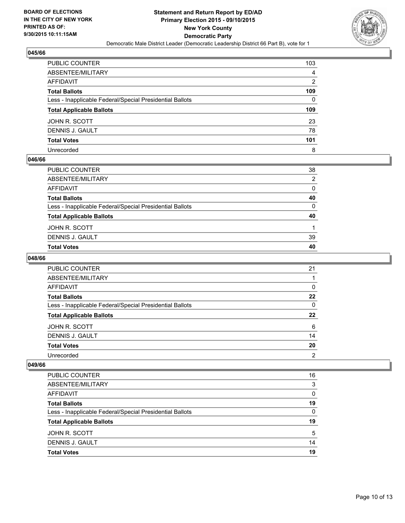

| PUBLIC COUNTER                                           | 103            |
|----------------------------------------------------------|----------------|
| ABSENTEE/MILITARY                                        | 4              |
| AFFIDAVIT                                                | $\overline{2}$ |
| Total Ballots                                            | 109            |
| Less - Inapplicable Federal/Special Presidential Ballots | 0              |
| <b>Total Applicable Ballots</b>                          | 109            |
| JOHN R. SCOTT                                            | 23             |
| DENNIS J. GAULT                                          | 78             |
| <b>Total Votes</b>                                       | 101            |
| Unrecorded                                               | 8              |

#### **046/66**

| PUBLIC COUNTER                                           | 38 |
|----------------------------------------------------------|----|
| ABSENTEE/MILITARY                                        | 2  |
| AFFIDAVIT                                                | 0  |
| Total Ballots                                            | 40 |
| Less - Inapplicable Federal/Special Presidential Ballots | 0  |
| <b>Total Applicable Ballots</b>                          | 40 |
| JOHN R. SCOTT                                            |    |
| DENNIS J. GAULT                                          | 39 |
| Total Votes                                              | 40 |
|                                                          |    |

# **048/66**

| PUBLIC COUNTER                                           | 21 |
|----------------------------------------------------------|----|
| ABSENTEE/MILITARY                                        |    |
| AFFIDAVIT                                                | 0  |
| <b>Total Ballots</b>                                     | 22 |
| Less - Inapplicable Federal/Special Presidential Ballots | 0  |
| <b>Total Applicable Ballots</b>                          | 22 |
| JOHN R. SCOTT                                            | 6  |
| DENNIS J. GAULT                                          | 14 |
| <b>Total Votes</b>                                       | 20 |
| Unrecorded                                               | 2  |

| PUBLIC COUNTER                                           | 16       |
|----------------------------------------------------------|----------|
| ABSENTEE/MILITARY                                        | 3        |
| AFFIDAVIT                                                | $\Omega$ |
| <b>Total Ballots</b>                                     | 19       |
| Less - Inapplicable Federal/Special Presidential Ballots | 0        |
| <b>Total Applicable Ballots</b>                          | 19       |
| JOHN R. SCOTT                                            | 5        |
| DENNIS J. GAULT                                          | 14       |
| <b>Total Votes</b>                                       | 19       |
|                                                          |          |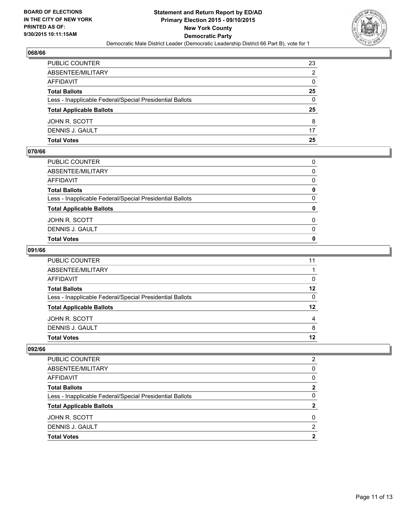

| PUBLIC COUNTER                                           | 23 |
|----------------------------------------------------------|----|
| ABSENTEE/MILITARY                                        | 2  |
| AFFIDAVIT                                                | 0  |
| <b>Total Ballots</b>                                     | 25 |
| Less - Inapplicable Federal/Special Presidential Ballots | 0  |
| <b>Total Applicable Ballots</b>                          | 25 |
| JOHN R. SCOTT                                            | 8  |
| DENNIS J. GAULT                                          | 17 |
| Total Votes                                              | 25 |

## **070/66**

| PUBLIC COUNTER                                           |              |
|----------------------------------------------------------|--------------|
| ABSENTEE/MILITARY                                        | $\Omega$     |
| AFFIDAVIT                                                | $\mathbf{0}$ |
| <b>Total Ballots</b>                                     | 0            |
| Less - Inapplicable Federal/Special Presidential Ballots | $\mathbf{0}$ |
| <b>Total Applicable Ballots</b>                          | 0            |
|                                                          |              |
| JOHN R. SCOTT                                            | $\Omega$     |
| DENNIS J. GAULT                                          | $\mathbf{0}$ |
| <b>Total Votes</b>                                       | $\mathbf{0}$ |

## **091/66**

| PUBLIC COUNTER                                           | 11       |
|----------------------------------------------------------|----------|
| ABSENTEE/MILITARY                                        |          |
| AFFIDAVIT                                                | 0        |
| <b>Total Ballots</b>                                     | $12 \,$  |
| Less - Inapplicable Federal/Special Presidential Ballots | $\Omega$ |
| <b>Total Applicable Ballots</b>                          | 12       |
| JOHN R. SCOTT                                            | 4        |
| DENNIS J. GAULT                                          | 8        |
| Total Votes                                              | 12       |
|                                                          |          |

| PUBLIC COUNTER                                           | 2 |
|----------------------------------------------------------|---|
| ABSENTEE/MILITARY                                        | 0 |
| AFFIDAVIT                                                | 0 |
| <b>Total Ballots</b>                                     | 2 |
| Less - Inapplicable Federal/Special Presidential Ballots | 0 |
| <b>Total Applicable Ballots</b>                          | 2 |
| JOHN R. SCOTT                                            | 0 |
| <b>DENNIS J. GAULT</b>                                   | 2 |
| <b>Total Votes</b>                                       | 2 |
|                                                          |   |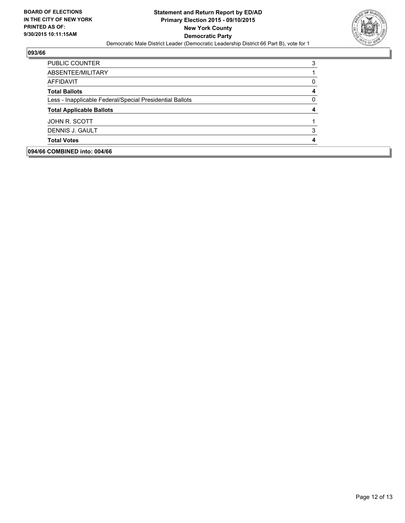

| 094/66 COMBINED into: 004/66                             |   |
|----------------------------------------------------------|---|
| <b>Total Votes</b>                                       |   |
| DENNIS J. GAULT                                          | 3 |
| JOHN R. SCOTT                                            |   |
| <b>Total Applicable Ballots</b>                          |   |
| Less - Inapplicable Federal/Special Presidential Ballots | O |
| <b>Total Ballots</b>                                     | 4 |
| AFFIDAVIT                                                | 0 |
| ABSENTEE/MILITARY                                        |   |
| PUBLIC COUNTER                                           | 3 |